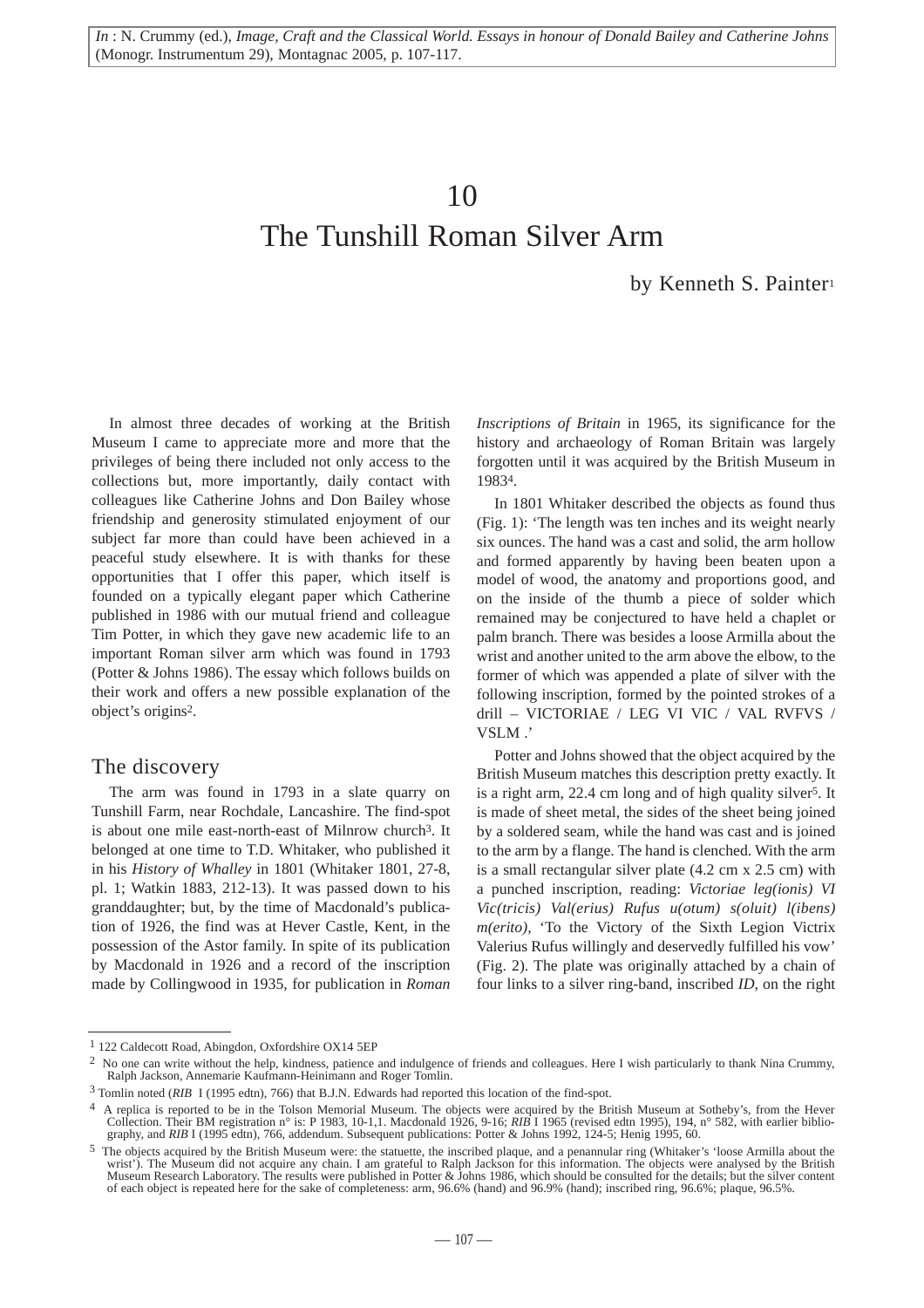*In* : N. Crummy (ed.), *Image, Craft and the Classical World. Essays in honour of Donald Bailey and Catherine Johns* (Monogr. Instrumentum 29), Montagnac 2005, p. 107-117.

## 10

# The Tunshill Roman Silver Arm

by Kenneth S. Painter1

In almost three decades of working at the British Museum I came to appreciate more and more that the privileges of being there included not only access to the collections but, more importantly, daily contact with colleagues like Catherine Johns and Don Bailey whose friendship and generosity stimulated enjoyment of our subject far more than could have been achieved in a peaceful study elsewhere. It is with thanks for these opportunities that I offer this paper, which itself is founded on a typically elegant paper which Catherine published in 1986 with our mutual friend and colleague Tim Potter, in which they gave new academic life to an important Roman silver arm which was found in 1793 (Potter & Johns 1986). The essay which follows builds on their work and offers a new possible explanation of the object's origins2.

### The discovery

The arm was found in 1793 in a slate quarry on Tunshill Farm, near Rochdale, Lancashire. The find-spot is about one mile east-north-east of Milnrow church3. It belonged at one time to T.D. Whitaker, who published it in his *History of Whalley* in 1801 (Whitaker 1801, 27-8, pl. 1; Watkin 1883, 212-13). It was passed down to his granddaughter; but, by the time of Macdonald's publication of 1926, the find was at Hever Castle, Kent, in the possession of the Astor family. In spite of its publication by Macdonald in 1926 and a record of the inscription made by Collingwood in 1935, for publication in *Roman*

*Inscriptions of Britain* in 1965, its significance for the history and archaeology of Roman Britain was largely forgotten until it was acquired by the British Museum in 19834.

In 1801 Whitaker described the objects as found thus (Fig. 1): 'The length was ten inches and its weight nearly six ounces. The hand was a cast and solid, the arm hollow and formed apparently by having been beaten upon a model of wood, the anatomy and proportions good, and on the inside of the thumb a piece of solder which remained may be conjectured to have held a chaplet or palm branch. There was besides a loose Armilla about the wrist and another united to the arm above the elbow, to the former of which was appended a plate of silver with the following inscription, formed by the pointed strokes of a drill – VICTORIAE / LEG VI VIC / VAL RVFVS / VSLM .'

Potter and Johns showed that the object acquired by the British Museum matches this description pretty exactly. It is a right arm, 22.4 cm long and of high quality silver<sup>5</sup>. It is made of sheet metal, the sides of the sheet being joined by a soldered seam, while the hand was cast and is joined to the arm by a flange. The hand is clenched. With the arm is a small rectangular silver plate (4.2 cm x 2.5 cm) with a punched inscription, reading: *Victoriae leg(ionis) VI Vic(tricis) Val(erius) Rufus u(otum) s(oluit) l(ibens) m(erito),* 'To the Victory of the Sixth Legion Victrix Valerius Rufus willingly and deservedly fulfilled his vow' (Fig. 2). The plate was originally attached by a chain of four links to a silver ring-band, inscribed *ID*, on the right

<sup>1</sup> 122 Caldecott Road, Abingdon, Oxfordshire OX14 5EP

 $<sup>2</sup>$  No one can write without the help, kindness, patience and indulgence of friends and colleagues. Here I wish particularly to thank Nina Crummy,</sup> Ralph Jackson, Annemarie Kaufmann-Heinimann and Roger Tomlin.

<sup>3</sup> Tomlin noted (*RIB* I (1995 edtn), 766) that B.J.N. Edwards had reported this location of the find-spot.

<sup>4</sup> A replica is reported to be in the Tolson Memorial Museum. The objects were acquired by the British Museum at Sotheby's, from the Hever Collection. Their BM registration n° is: P 1983, 10-1,1. Macdonald 1926, 9-16; *RIB* I 1965 (revised edtn 1995), 194, n° 582, with earlier bibliography, and *RIB* I (1995 edtn), 766, addendum. Subsequent publications: Potter & Johns 1992, 124-5; Henig 1995, 60.

<sup>5</sup> The objects acquired by the British Museum were: the statuette, the inscribed plaque, and a penannular ring (Whitaker's 'loose Armilla about the wrist'). The Museum did not acquire any chain. I am grateful to Ralph Jackson for this information. The objects were analysed by the British Museum Research Laboratory. The results were published in Potter & Johns 1986, which should be consulted for the details; but the silver content of each object is repeated here for the sake of completeness: arm, 96.6% (hand) and 96.9% (hand); inscribed ring, 96.6%; plaque, 96.5%.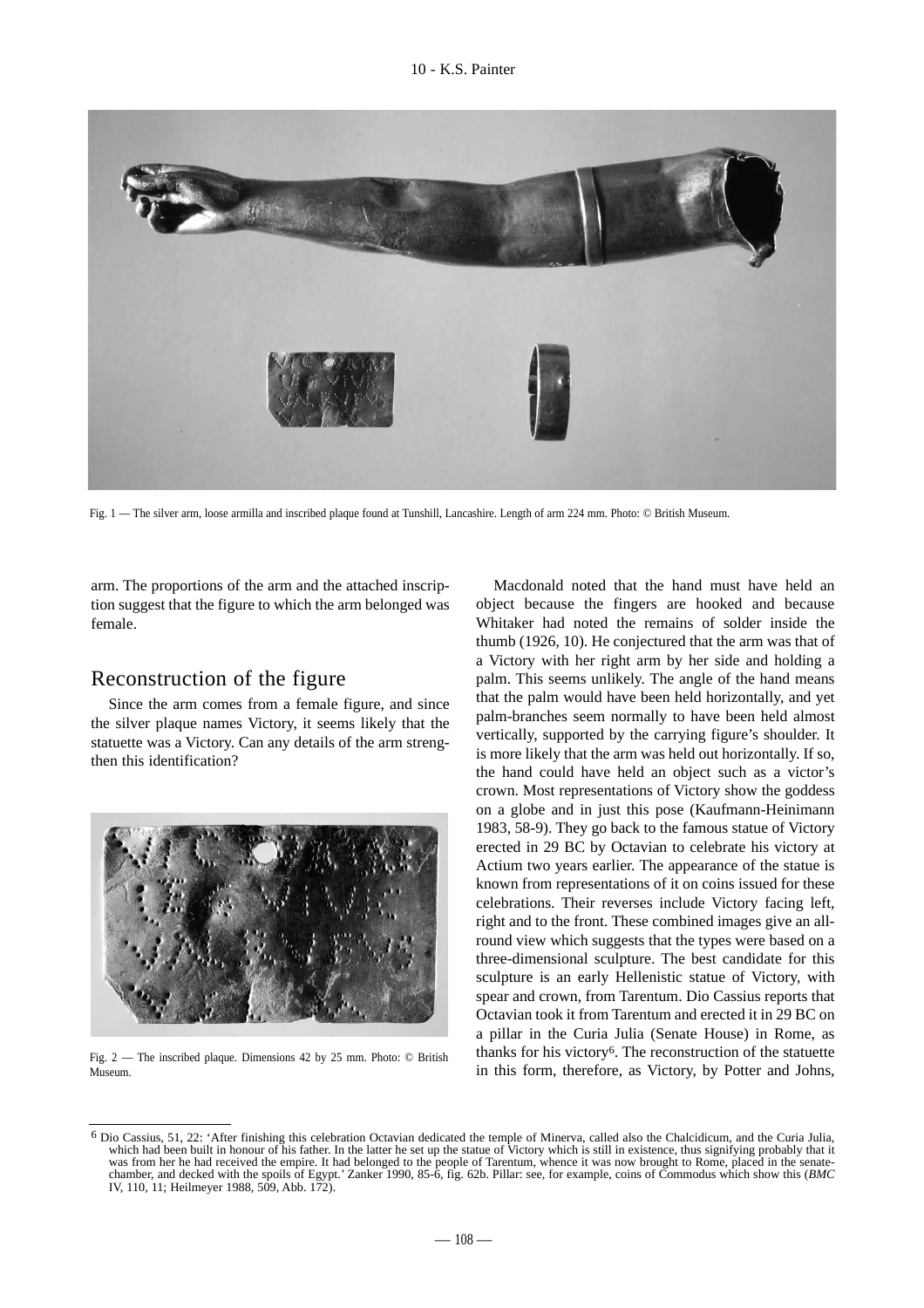

Fig. 1 — The silver arm, loose armilla and inscribed plaque found at Tunshill, Lancashire. Length of arm 224 mm. Photo: © British Museum.

arm. The proportions of the arm and the attached inscription suggest that the figure to which the arm belonged was female.

## Reconstruction of the figure

Since the arm comes from a female figure, and since the silver plaque names Victory, it seems likely that the statuette was a Victory. Can any details of the arm strengthen this identification?



Fig. 2 — The inscribed plaque. Dimensions 42 by 25 mm. Photo: © British Museum.

Macdonald noted that the hand must have held an object because the fingers are hooked and because Whitaker had noted the remains of solder inside the thumb (1926, 10). He conjectured that the arm was that of a Victory with her right arm by her side and holding a palm. This seems unlikely. The angle of the hand means that the palm would have been held horizontally, and yet palm-branches seem normally to have been held almost vertically, supported by the carrying figure's shoulder. It is more likely that the arm was held out horizontally. If so, the hand could have held an object such as a victor's crown. Most representations of Victory show the goddess on a globe and in just this pose (Kaufmann-Heinimann 1983, 58-9). They go back to the famous statue of Victory erected in 29 BC by Octavian to celebrate his victory at Actium two years earlier. The appearance of the statue is known from representations of it on coins issued for these celebrations. Their reverses include Victory facing left, right and to the front. These combined images give an allround view which suggests that the types were based on a three-dimensional sculpture. The best candidate for this sculpture is an early Hellenistic statue of Victory, with spear and crown, from Tarentum. Dio Cassius reports that Octavian took it from Tarentum and erected it in 29 BC on a pillar in the Curia Julia (Senate House) in Rome, as thanks for his victory6. The reconstruction of the statuette in this form, therefore, as Victory, by Potter and Johns,

<sup>6</sup> Dio Cassius, 51, 22: 'After finishing this celebration Octavian dedicated the temple of Minerva, called also the Chalcidicum, and the Curia Julia, which had been built in honour of his father. In the latter he set up the statue of Victory which is still in existence, thus signifying probably that it was from her he had received the empire. It had belonged to the people of Tarentum, whence it was now brought to Rome, placed in the senatechamber, and decked with the spoils of Egypt.' Zanker 1990, 85-6, fig. 62b. Pillar: see, for example, coins of Commodus which show this (*BMC* IV, 110, 11; Heilmeyer 1988, 509, Abb. 172).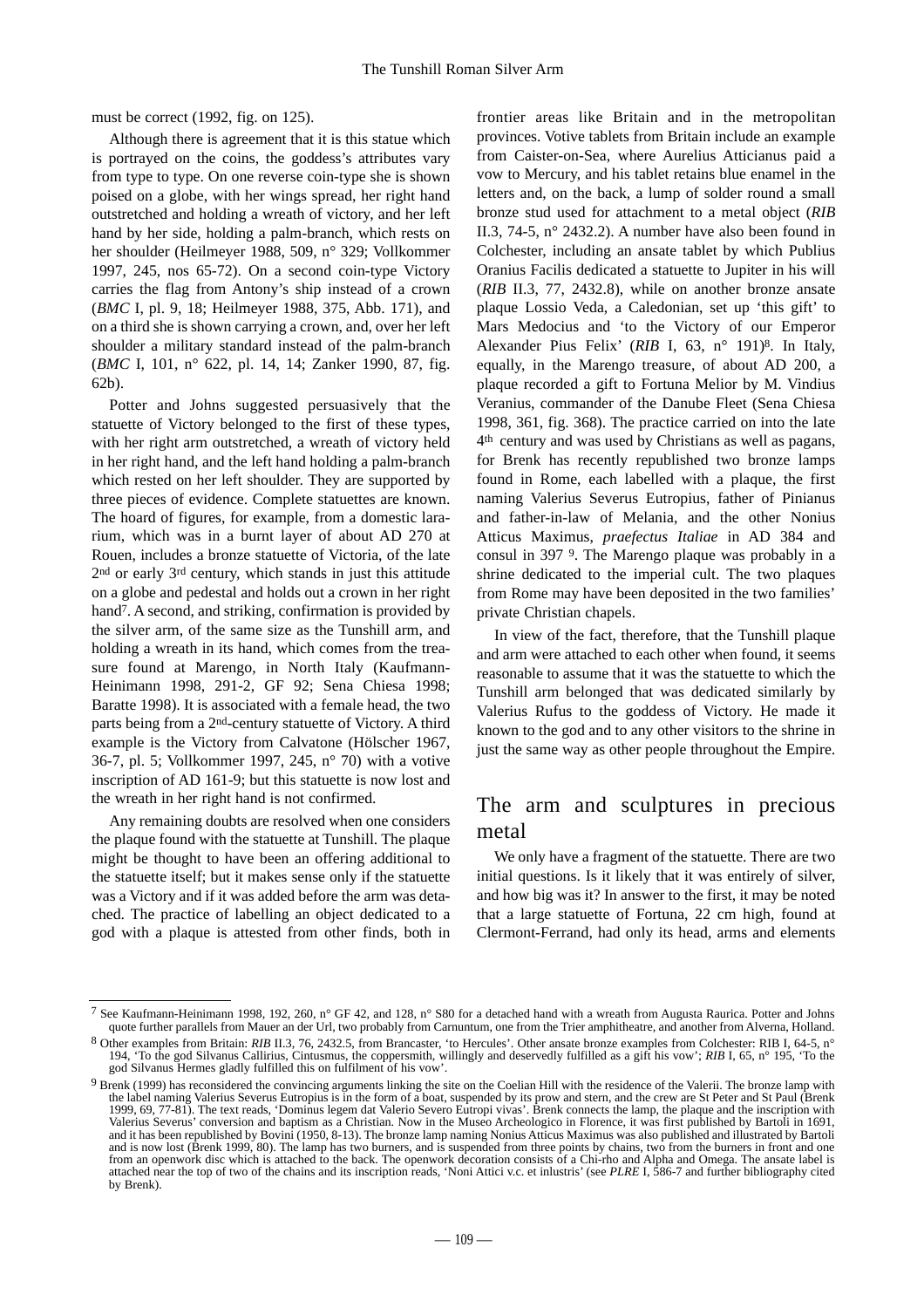must be correct (1992, fig. on 125).

Although there is agreement that it is this statue which is portrayed on the coins, the goddess's attributes vary from type to type. On one reverse coin-type she is shown poised on a globe, with her wings spread, her right hand outstretched and holding a wreath of victory, and her left hand by her side, holding a palm-branch, which rests on her shoulder (Heilmeyer 1988, 509, n° 329; Vollkommer 1997, 245, nos 65-72). On a second coin-type Victory carries the flag from Antony's ship instead of a crown (*BMC* I, pl. 9, 18; Heilmeyer 1988, 375, Abb. 171), and on a third she is shown carrying a crown, and, over her left shoulder a military standard instead of the palm-branch (*BMC* I, 101, n° 622, pl. 14, 14; Zanker 1990, 87, fig. 62b).

Potter and Johns suggested persuasively that the statuette of Victory belonged to the first of these types, with her right arm outstretched, a wreath of victory held in her right hand, and the left hand holding a palm-branch which rested on her left shoulder. They are supported by three pieces of evidence. Complete statuettes are known. The hoard of figures, for example, from a domestic lararium, which was in a burnt layer of about AD 270 at Rouen, includes a bronze statuette of Victoria, of the late 2nd or early 3rd century, which stands in just this attitude on a globe and pedestal and holds out a crown in her right hand<sup>7</sup>. A second, and striking, confirmation is provided by the silver arm, of the same size as the Tunshill arm, and holding a wreath in its hand, which comes from the treasure found at Marengo, in North Italy (Kaufmann-Heinimann 1998, 291-2, GF 92; Sena Chiesa 1998; Baratte 1998). It is associated with a female head, the two parts being from a 2nd-century statuette of Victory. A third example is the Victory from Calvatone (Hölscher 1967, 36-7, pl. 5; Vollkommer 1997, 245, n° 70) with a votive inscription of AD 161-9; but this statuette is now lost and the wreath in her right hand is not confirmed.

Any remaining doubts are resolved when one considers the plaque found with the statuette at Tunshill. The plaque might be thought to have been an offering additional to the statuette itself; but it makes sense only if the statuette was a Victory and if it was added before the arm was detached. The practice of labelling an object dedicated to a god with a plaque is attested from other finds, both in

frontier areas like Britain and in the metropolitan provinces. Votive tablets from Britain include an example from Caister-on-Sea, where Aurelius Atticianus paid a vow to Mercury, and his tablet retains blue enamel in the letters and, on the back, a lump of solder round a small bronze stud used for attachment to a metal object (*RIB* II.3, 74-5, n° 2432.2). A number have also been found in Colchester, including an ansate tablet by which Publius Oranius Facilis dedicated a statuette to Jupiter in his will (*RIB* II.3, 77, 2432.8), while on another bronze ansate plaque Lossio Veda, a Caledonian, set up 'this gift' to Mars Medocius and 'to the Victory of our Emperor Alexander Pius Felix' (*RIB* I, 63, n° 191)8. In Italy, equally, in the Marengo treasure, of about AD 200, a plaque recorded a gift to Fortuna Melior by M. Vindius Veranius, commander of the Danube Fleet (Sena Chiesa 1998, 361, fig. 368). The practice carried on into the late 4th century and was used by Christians as well as pagans, for Brenk has recently republished two bronze lamps found in Rome, each labelled with a plaque, the first naming Valerius Severus Eutropius, father of Pinianus and father-in-law of Melania, and the other Nonius Atticus Maximus, *praefectus Italiae* in AD 384 and consul in 397 9. The Marengo plaque was probably in a shrine dedicated to the imperial cult. The two plaques from Rome may have been deposited in the two families' private Christian chapels.

In view of the fact, therefore, that the Tunshill plaque and arm were attached to each other when found, it seems reasonable to assume that it was the statuette to which the Tunshill arm belonged that was dedicated similarly by Valerius Rufus to the goddess of Victory. He made it known to the god and to any other visitors to the shrine in just the same way as other people throughout the Empire.

## The arm and sculptures in precious metal

We only have a fragment of the statuette. There are two initial questions. Is it likely that it was entirely of silver, and how big was it? In answer to the first, it may be noted that a large statuette of Fortuna, 22 cm high, found at Clermont-Ferrand, had only its head, arms and elements

<sup>7</sup> See Kaufmann-Heinimann 1998, 192, 260, n° GF 42, and 128, n° S80 for a detached hand with a wreath from Augusta Raurica. Potter and Johns quote further parallels from Mauer an der Url, two probably from Carnuntum, one from the Trier amphitheatre, and another from Alverna, Holland.

<sup>8</sup> Other examples from Britain: *RIB* II.3, 76, 2432.5, from Brancaster, 'to Hercules'. Other ansate bronze examples from Colchester: RIB I, 64-5, n° 194, 'To the god Silvanus Callirius, Cintusmus, the coppersmith, willingly and deservedly fulfilled as a gift his vow'; *RIB* I, 65, n° 195, 'To the god Silvanus Hermes gladly fulfilled this on fulfilment of his vow'.

<sup>9</sup> Brenk (1999) has reconsidered the convincing arguments linking the site on the Coelian Hill with the residence of the Valerii. The bronze lamp with the label naming Valerius Severus Eutropius is in the form of a boat, suspended by its prow and stern, and the crew are St Peter and St Paul (Brenk 1999, 69, 77-81). The text reads, 'Dominus legem dat Valerio Severo Eutropi vivas'. Brenk connects the lamp, the plaque and the inscription with Valerius Severus' conversion and baptism as a Christian. Now in the Museo Archeologico in Florence, it was first published by Bartoli in 1691, and it has been republished by Bovini (1950, 8-13). The bronze lamp naming Nonius Atticus Maximus was also published and illustrated by Bartoli and is now lost (Brenk 1999, 80). The lamp has two burners, and is suspended from three points by chains, two from the burners in front and one from an openwork disc which is attached to the back. The openwork decoration consists of a Chi-rho and Alpha and Omega. The ansate label is attached near the top of two of the chains and its inscription reads, 'Noni Attici v.c. et inlustris' (see *PLRE* I, 586-7 and further bibliography cited by Brenk).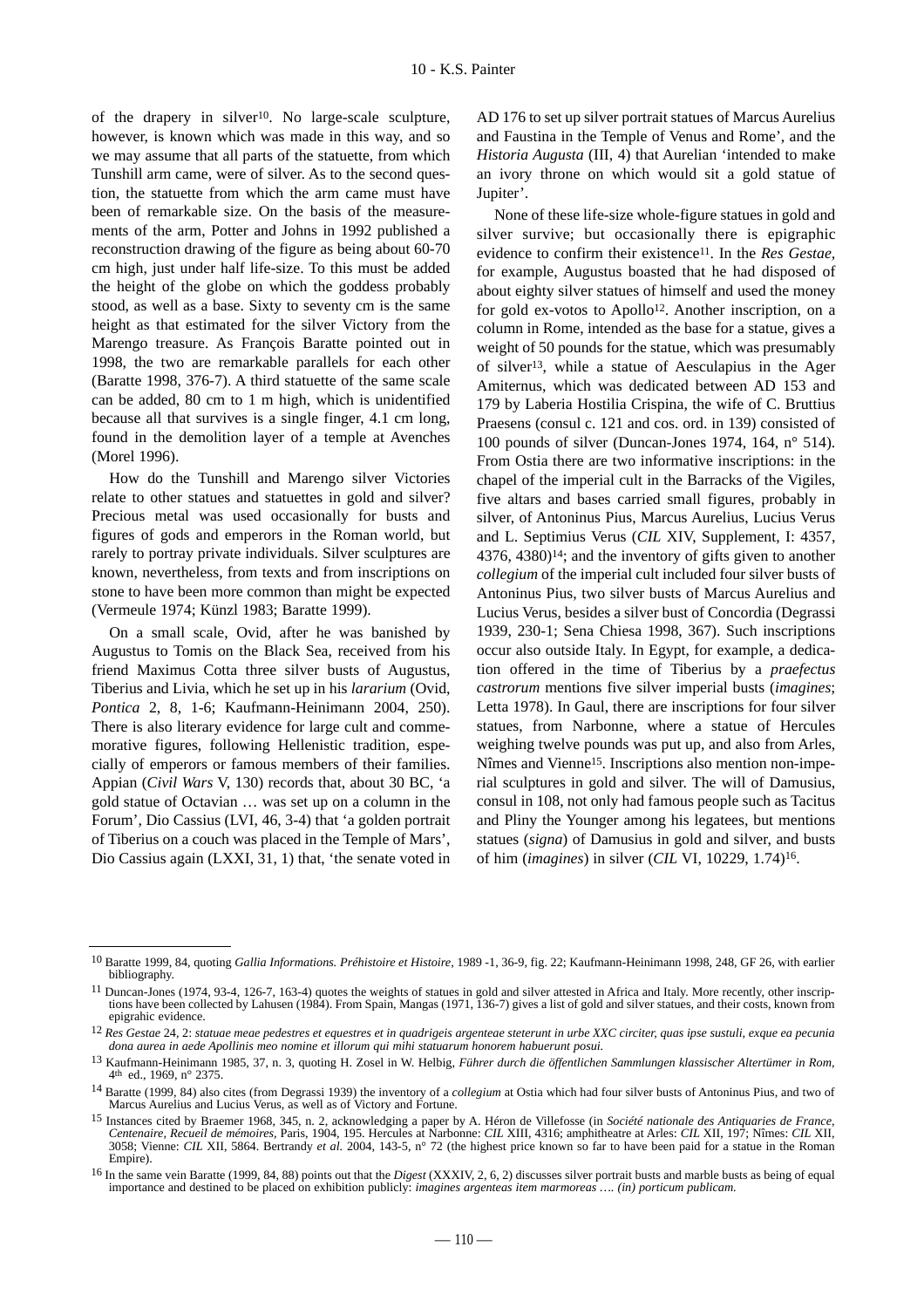of the drapery in silver10. No large-scale sculpture, however, is known which was made in this way, and so we may assume that all parts of the statuette, from which Tunshill arm came, were of silver. As to the second question, the statuette from which the arm came must have been of remarkable size. On the basis of the measurements of the arm, Potter and Johns in 1992 published a reconstruction drawing of the figure as being about 60-70 cm high, just under half life-size. To this must be added the height of the globe on which the goddess probably stood, as well as a base. Sixty to seventy cm is the same height as that estimated for the silver Victory from the Marengo treasure. As François Baratte pointed out in 1998, the two are remarkable parallels for each other (Baratte 1998, 376-7). A third statuette of the same scale can be added, 80 cm to 1 m high, which is unidentified because all that survives is a single finger, 4.1 cm long, found in the demolition layer of a temple at Avenches (Morel 1996).

How do the Tunshill and Marengo silver Victories relate to other statues and statuettes in gold and silver? Precious metal was used occasionally for busts and figures of gods and emperors in the Roman world, but rarely to portray private individuals. Silver sculptures are known, nevertheless, from texts and from inscriptions on stone to have been more common than might be expected (Vermeule 1974; Künzl 1983; Baratte 1999).

On a small scale, Ovid, after he was banished by Augustus to Tomis on the Black Sea, received from his friend Maximus Cotta three silver busts of Augustus, Tiberius and Livia, which he set up in his *lararium* (Ovid, *Pontica* 2, 8, 1-6; Kaufmann-Heinimann 2004, 250). There is also literary evidence for large cult and commemorative figures, following Hellenistic tradition, especially of emperors or famous members of their families. Appian (*Civil Wars* V, 130) records that, about 30 BC, 'a gold statue of Octavian … was set up on a column in the Forum', Dio Cassius (LVI, 46, 3-4) that 'a golden portrait of Tiberius on a couch was placed in the Temple of Mars', Dio Cassius again (LXXI, 31, 1) that, 'the senate voted in

AD 176 to set up silver portrait statues of Marcus Aurelius and Faustina in the Temple of Venus and Rome', and the *Historia Augusta* (III, 4) that Aurelian 'intended to make an ivory throne on which would sit a gold statue of Jupiter'.

None of these life-size whole-figure statues in gold and silver survive; but occasionally there is epigraphic evidence to confirm their existence<sup>11</sup>. In the *Res Gestae*, for example, Augustus boasted that he had disposed of about eighty silver statues of himself and used the money for gold ex-votos to Apollo<sup>12</sup>. Another inscription, on a column in Rome, intended as the base for a statue, gives a weight of 50 pounds for the statue, which was presumably of silver13, while a statue of Aesculapius in the Ager Amiternus, which was dedicated between AD 153 and 179 by Laberia Hostilia Crispina, the wife of C. Bruttius Praesens (consul c. 121 and cos. ord. in 139) consisted of 100 pounds of silver (Duncan-Jones 1974, 164, n° 514). From Ostia there are two informative inscriptions: in the chapel of the imperial cult in the Barracks of the Vigiles, five altars and bases carried small figures, probably in silver, of Antoninus Pius, Marcus Aurelius, Lucius Verus and L. Septimius Verus (*CIL* XIV, Supplement, I: 4357, 4376, 4380)14; and the inventory of gifts given to another *collegium* of the imperial cult included four silver busts of Antoninus Pius, two silver busts of Marcus Aurelius and Lucius Verus, besides a silver bust of Concordia (Degrassi 1939, 230-1; Sena Chiesa 1998, 367). Such inscriptions occur also outside Italy. In Egypt, for example, a dedication offered in the time of Tiberius by a *praefectus castrorum* mentions five silver imperial busts (*imagines*; Letta 1978). In Gaul, there are inscriptions for four silver statues, from Narbonne, where a statue of Hercules weighing twelve pounds was put up, and also from Arles, Nîmes and Vienne15. Inscriptions also mention non-imperial sculptures in gold and silver. The will of Damusius, consul in 108, not only had famous people such as Tacitus and Pliny the Younger among his legatees, but mentions statues (*signa*) of Damusius in gold and silver, and busts of him (*imagines*) in silver (*CIL* VI, 10229, 1.74)16.

<sup>10</sup> Baratte 1999, 84, quoting *Gallia Informations. Préhistoire et Histoire,* 1989 -1, 36-9, fig. 22; Kaufmann-Heinimann 1998, 248, GF 26, with earlier bibliography.

<sup>11</sup> Duncan-Jones (1974, 93-4, 126-7, 163-4) quotes the weights of statues in gold and silver attested in Africa and Italy. More recently, other inscriptions have been collected by Lahusen (1984). From Spain, Mangas (1971, 136-7) gives a list of gold and silver statues, and their costs, known from epigrahic evidence.

<sup>12</sup> *Res Gestae* 24, 2: *statuae meae pedestres et equestres et in quadrigeis argenteae steterunt in urbe XXC circiter, quas ipse sustuli, exque ea pecunia dona aurea in aede Apollinis meo nomine et illorum qui mihi statuarum honorem habuerunt posui.*

<sup>13</sup> Kaufmann-Heinimann 1985, 37, n. 3, quoting H. Zosel in W. Helbig, *Führer durch die öffentlichen Sammlungen klassischer Altertümer in Rom,* 4th ed., 1969, n° 2375.

<sup>14</sup> Baratte (1999, 84) also cites (from Degrassi 1939) the inventory of a *collegium* at Ostia which had four silver busts of Antoninus Pius, and two of Marcus Aurelius and Lucius Verus, as well as of Victory and Fortune.

<sup>15</sup> Instances cited by Braemer 1968, 345, n. 2, acknowledging a paper by A. Héron de Villefosse (in *Société nationale des Antiquaries de France, Centenaire, Recueil de mémoires,* Paris, 1904, 195. Hercules at Narbonne: *CIL* XIII, 4316; amphitheatre at Arles: *CIL* XII, 197; Nîmes: *CIL* XII, 3058; Vienne: *CIL* XII, 5864. Bertrandy *et al.* 2004, 143-5, n° 72 (the highest price known so far to have been paid for a statue in the Roman Empire).

<sup>16</sup> In the same vein Baratte (1999, 84, 88) points out that the *Digest* (XXXIV, 2, 6, 2) discusses silver portrait busts and marble busts as being of equal importance and destined to be placed on exhibition publicly: *imagines argenteas item marmoreas …. (in) porticum publicam.*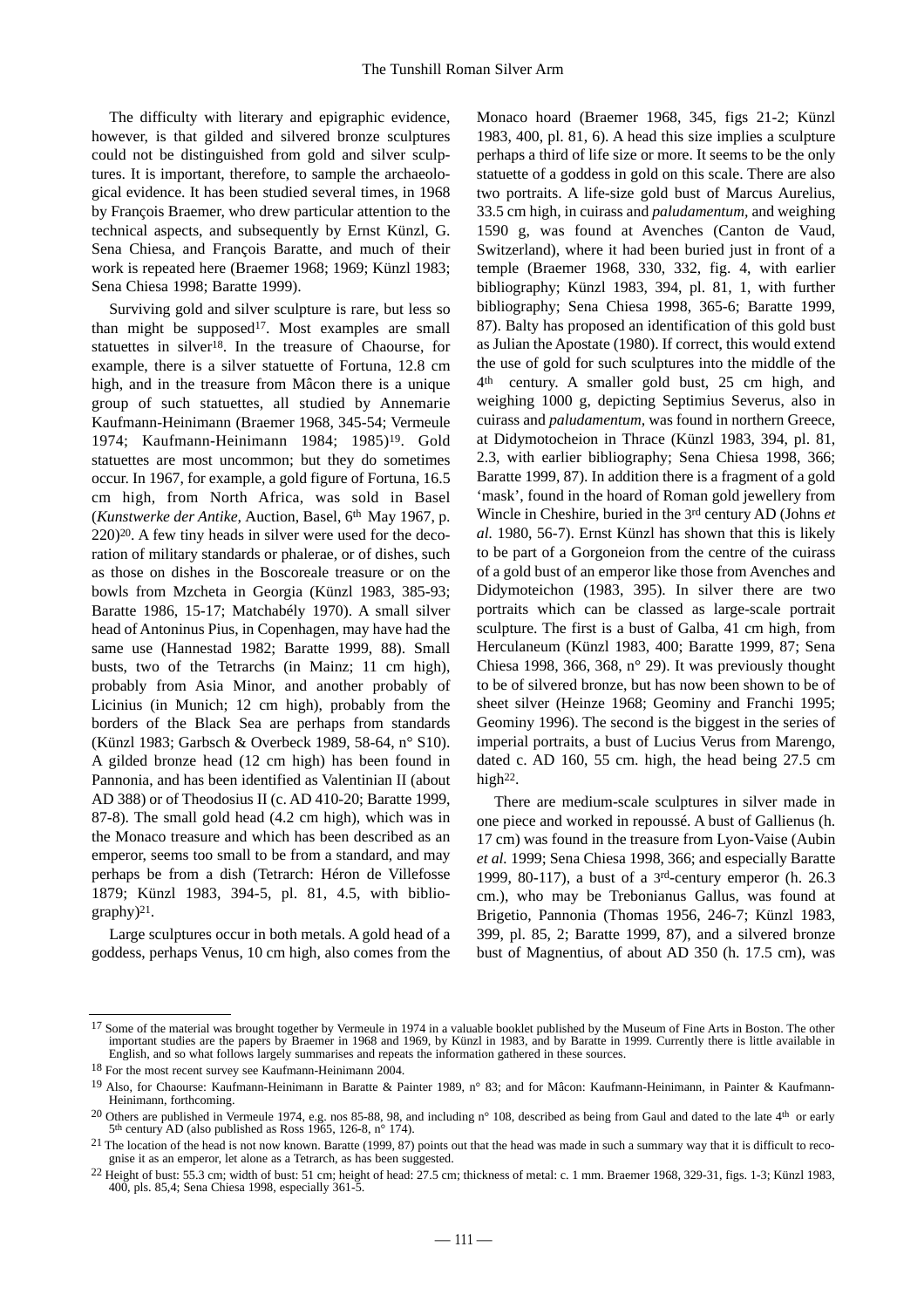The difficulty with literary and epigraphic evidence, however, is that gilded and silvered bronze sculptures could not be distinguished from gold and silver sculptures. It is important, therefore, to sample the archaeological evidence. It has been studied several times, in 1968 by François Braemer, who drew particular attention to the technical aspects, and subsequently by Ernst Künzl, G. Sena Chiesa, and François Baratte, and much of their work is repeated here (Braemer 1968; 1969; Künzl 1983; Sena Chiesa 1998; Baratte 1999).

Surviving gold and silver sculpture is rare, but less so than might be supposed<sup>17</sup>. Most examples are small statuettes in silver18. In the treasure of Chaourse, for example, there is a silver statuette of Fortuna, 12.8 cm high, and in the treasure from Mâcon there is a unique group of such statuettes, all studied by Annemarie Kaufmann-Heinimann (Braemer 1968, 345-54; Vermeule 1974; Kaufmann-Heinimann 1984; 1985)19. Gold statuettes are most uncommon; but they do sometimes occur. In 1967, for example, a gold figure of Fortuna, 16.5 cm high, from North Africa, was sold in Basel (*Kunstwerke der Antike,* Auction, Basel, 6th May 1967, p. 220)20. A few tiny heads in silver were used for the decoration of military standards or phalerae, or of dishes, such as those on dishes in the Boscoreale treasure or on the bowls from Mzcheta in Georgia (Künzl 1983, 385-93; Baratte 1986, 15-17; Matchabély 1970). A small silver head of Antoninus Pius, in Copenhagen, may have had the same use (Hannestad 1982; Baratte 1999, 88). Small busts, two of the Tetrarchs (in Mainz; 11 cm high), probably from Asia Minor, and another probably of Licinius (in Munich; 12 cm high), probably from the borders of the Black Sea are perhaps from standards (Künzl 1983; Garbsch & Overbeck 1989, 58-64, n° S10). A gilded bronze head (12 cm high) has been found in Pannonia, and has been identified as Valentinian II (about AD 388) or of Theodosius II (c. AD 410-20; Baratte 1999, 87-8). The small gold head (4.2 cm high), which was in the Monaco treasure and which has been described as an emperor, seems too small to be from a standard, and may perhaps be from a dish (Tetrarch: Héron de Villefosse 1879; Künzl 1983, 394-5, pl. 81, 4.5, with biblio $graphy)^{21}$ .

Large sculptures occur in both metals. A gold head of a goddess, perhaps Venus, 10 cm high, also comes from the

Monaco hoard (Braemer 1968, 345, figs 21-2; Künzl 1983, 400, pl. 81, 6). A head this size implies a sculpture perhaps a third of life size or more. It seems to be the only statuette of a goddess in gold on this scale. There are also two portraits. A life-size gold bust of Marcus Aurelius, 33.5 cm high, in cuirass and *paludamentum,* and weighing 1590 g, was found at Avenches (Canton de Vaud, Switzerland), where it had been buried just in front of a temple (Braemer 1968, 330, 332, fig. 4, with earlier bibliography; Künzl 1983, 394, pl. 81, 1, with further bibliography; Sena Chiesa 1998, 365-6; Baratte 1999, 87). Balty has proposed an identification of this gold bust as Julian the Apostate (1980). If correct, this would extend the use of gold for such sculptures into the middle of the 4th century. A smaller gold bust, 25 cm high, and weighing 1000 g, depicting Septimius Severus, also in cuirass and *paludamentum,* was found in northern Greece, at Didymotocheion in Thrace (Künzl 1983, 394, pl. 81, 2.3, with earlier bibliography; Sena Chiesa 1998, 366; Baratte 1999, 87). In addition there is a fragment of a gold 'mask', found in the hoard of Roman gold jewellery from Wincle in Cheshire, buried in the 3rd century AD (Johns *et al.* 1980, 56-7). Ernst Künzl has shown that this is likely to be part of a Gorgoneion from the centre of the cuirass of a gold bust of an emperor like those from Avenches and Didymoteichon (1983, 395). In silver there are two portraits which can be classed as large-scale portrait sculpture. The first is a bust of Galba, 41 cm high, from Herculaneum (Künzl 1983, 400; Baratte 1999, 87; Sena Chiesa 1998, 366, 368,  $n^{\circ}$  29). It was previously thought to be of silvered bronze, but has now been shown to be of sheet silver (Heinze 1968; Geominy and Franchi 1995; Geominy 1996). The second is the biggest in the series of imperial portraits, a bust of Lucius Verus from Marengo, dated c. AD 160, 55 cm. high, the head being 27.5 cm high<sup>22</sup>.

There are medium-scale sculptures in silver made in one piece and worked in repoussé. A bust of Gallienus (h. 17 cm) was found in the treasure from Lyon-Vaise (Aubin *et al.* 1999; Sena Chiesa 1998, 366; and especially Baratte 1999, 80-117), a bust of a 3rd-century emperor (h. 26.3 cm.), who may be Trebonianus Gallus, was found at Brigetio, Pannonia (Thomas 1956, 246-7; Künzl 1983, 399, pl. 85, 2; Baratte 1999, 87), and a silvered bronze bust of Magnentius, of about AD 350 (h. 17.5 cm), was

<sup>&</sup>lt;sup>17</sup> Some of the material was brought together by Vermeule in 1974 in a valuable booklet published by the Museum of Fine Arts in Boston. The other important studies are the papers by Braemer in 1968 and 1969, by Künzl in 1983, and by Baratte in 1999. Currently there is little available in English, and so what follows largely summarises and repeats the information gathered in these sources.

<sup>18</sup> For the most recent survey see Kaufmann-Heinimann 2004.

<sup>19</sup> Also, for Chaourse: Kaufmann-Heinimann in Baratte & Painter 1989, n° 83; and for Mâcon: Kaufmann-Heinimann, in Painter & Kaufmann-Heinimann, forthcoming.

<sup>&</sup>lt;sup>20</sup> Others are published in Vermeule 1974, e.g. nos 85-88, 98, and including n° 108, described as being from Gaul and dated to the late 4<sup>th</sup> or early  $5<sup>th</sup>$  century AD (also published as Ross 1965, 126-8, n° 174).

<sup>&</sup>lt;sup>21</sup> The location of the head is not now known. Baratte (1999, 87) points out that the head was made in such a summary way that it is difficult to recognise it as an emperor, let alone as a Tetrarch, as has been suggested.

<sup>22</sup> Height of bust: 55.3 cm; width of bust: 51 cm; height of head: 27.5 cm; thickness of metal: c. 1 mm. Braemer 1968, 329-31, figs. 1-3; Künzl 1983, 400, pls. 85,4; Sena Chiesa 1998, especially 361-5.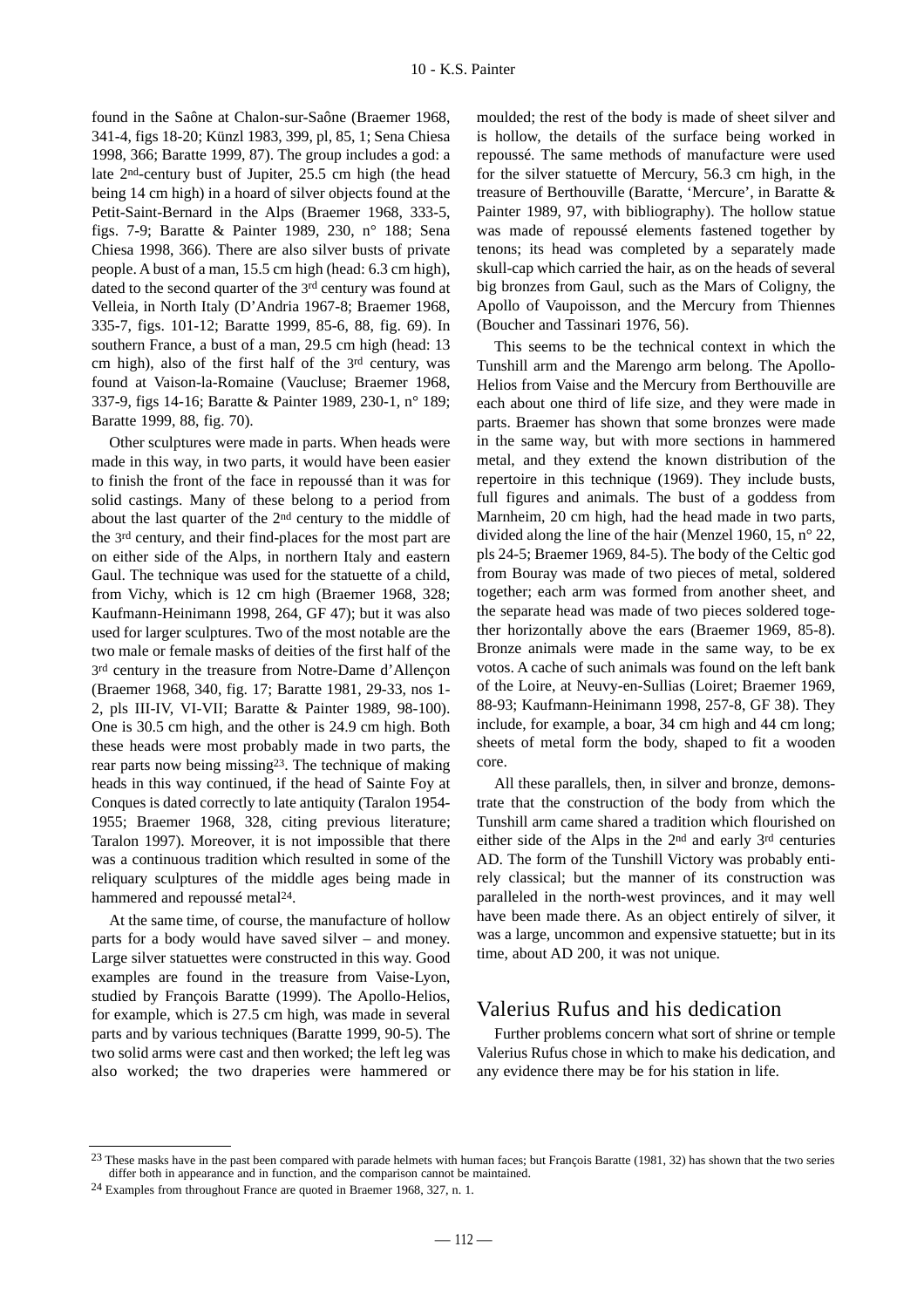found in the Saône at Chalon-sur-Saône (Braemer 1968, 341-4, figs 18-20; Künzl 1983, 399, pl, 85, 1; Sena Chiesa 1998, 366; Baratte 1999, 87). The group includes a god: a late 2nd-century bust of Jupiter, 25.5 cm high (the head being 14 cm high) in a hoard of silver objects found at the Petit-Saint-Bernard in the Alps (Braemer 1968, 333-5, figs. 7-9; Baratte & Painter 1989, 230, n° 188; Sena Chiesa 1998, 366). There are also silver busts of private people. A bust of a man, 15.5 cm high (head: 6.3 cm high), dated to the second quarter of the 3rd century was found at Velleia, in North Italy (D'Andria 1967-8; Braemer 1968, 335-7, figs. 101-12; Baratte 1999, 85-6, 88, fig. 69). In southern France, a bust of a man, 29.5 cm high (head: 13) cm high), also of the first half of the 3rd century, was found at Vaison-la-Romaine (Vaucluse; Braemer 1968, 337-9, figs 14-16; Baratte & Painter 1989, 230-1, n° 189; Baratte 1999, 88, fig. 70).

Other sculptures were made in parts. When heads were made in this way, in two parts, it would have been easier to finish the front of the face in repoussé than it was for solid castings. Many of these belong to a period from about the last quarter of the 2nd century to the middle of the 3rd century, and their find-places for the most part are on either side of the Alps, in northern Italy and eastern Gaul. The technique was used for the statuette of a child, from Vichy, which is 12 cm high (Braemer 1968, 328; Kaufmann-Heinimann 1998, 264, GF 47); but it was also used for larger sculptures. Two of the most notable are the two male or female masks of deities of the first half of the 3rd century in the treasure from Notre-Dame d'Allençon (Braemer 1968, 340, fig. 17; Baratte 1981, 29-33, nos 1- 2, pls III-IV, VI-VII; Baratte & Painter 1989, 98-100). One is 30.5 cm high, and the other is 24.9 cm high. Both these heads were most probably made in two parts, the rear parts now being missing23. The technique of making heads in this way continued, if the head of Sainte Foy at Conques is dated correctly to late antiquity (Taralon 1954- 1955; Braemer 1968, 328, citing previous literature; Taralon 1997). Moreover, it is not impossible that there was a continuous tradition which resulted in some of the reliquary sculptures of the middle ages being made in hammered and repoussé metal<sup>24</sup>.

At the same time, of course, the manufacture of hollow parts for a body would have saved silver – and money. Large silver statuettes were constructed in this way. Good examples are found in the treasure from Vaise-Lyon, studied by François Baratte (1999). The Apollo-Helios, for example, which is 27.5 cm high, was made in several parts and by various techniques (Baratte 1999, 90-5). The two solid arms were cast and then worked; the left leg was also worked; the two draperies were hammered or moulded; the rest of the body is made of sheet silver and is hollow, the details of the surface being worked in repoussé. The same methods of manufacture were used for the silver statuette of Mercury, 56.3 cm high, in the treasure of Berthouville (Baratte, 'Mercure', in Baratte & Painter 1989, 97, with bibliography). The hollow statue was made of repoussé elements fastened together by tenons; its head was completed by a separately made skull-cap which carried the hair, as on the heads of several big bronzes from Gaul, such as the Mars of Coligny, the Apollo of Vaupoisson, and the Mercury from Thiennes (Boucher and Tassinari 1976, 56).

This seems to be the technical context in which the Tunshill arm and the Marengo arm belong. The Apollo-Helios from Vaise and the Mercury from Berthouville are each about one third of life size, and they were made in parts. Braemer has shown that some bronzes were made in the same way, but with more sections in hammered metal, and they extend the known distribution of the repertoire in this technique (1969). They include busts, full figures and animals. The bust of a goddess from Marnheim, 20 cm high, had the head made in two parts, divided along the line of the hair (Menzel 1960, 15, n° 22, pls 24-5; Braemer 1969, 84-5). The body of the Celtic god from Bouray was made of two pieces of metal, soldered together; each arm was formed from another sheet, and the separate head was made of two pieces soldered together horizontally above the ears (Braemer 1969, 85-8). Bronze animals were made in the same way, to be ex votos. A cache of such animals was found on the left bank of the Loire, at Neuvy-en-Sullias (Loiret; Braemer 1969, 88-93; Kaufmann-Heinimann 1998, 257-8, GF 38). They include, for example, a boar, 34 cm high and 44 cm long; sheets of metal form the body, shaped to fit a wooden core.

All these parallels, then, in silver and bronze, demonstrate that the construction of the body from which the Tunshill arm came shared a tradition which flourished on either side of the Alps in the 2nd and early 3rd centuries AD. The form of the Tunshill Victory was probably entirely classical; but the manner of its construction was paralleled in the north-west provinces, and it may well have been made there. As an object entirely of silver, it was a large, uncommon and expensive statuette; but in its time, about AD 200, it was not unique.

## Valerius Rufus and his dedication

Further problems concern what sort of shrine or temple Valerius Rufus chose in which to make his dedication, and any evidence there may be for his station in life.

<sup>&</sup>lt;sup>23</sup> These masks have in the past been compared with parade helmets with human faces; but François Baratte (1981, 32) has shown that the two series differ both in appearance and in function, and the comparison cannot be maintained.

<sup>24</sup> Examples from throughout France are quoted in Braemer 1968, 327, n. 1.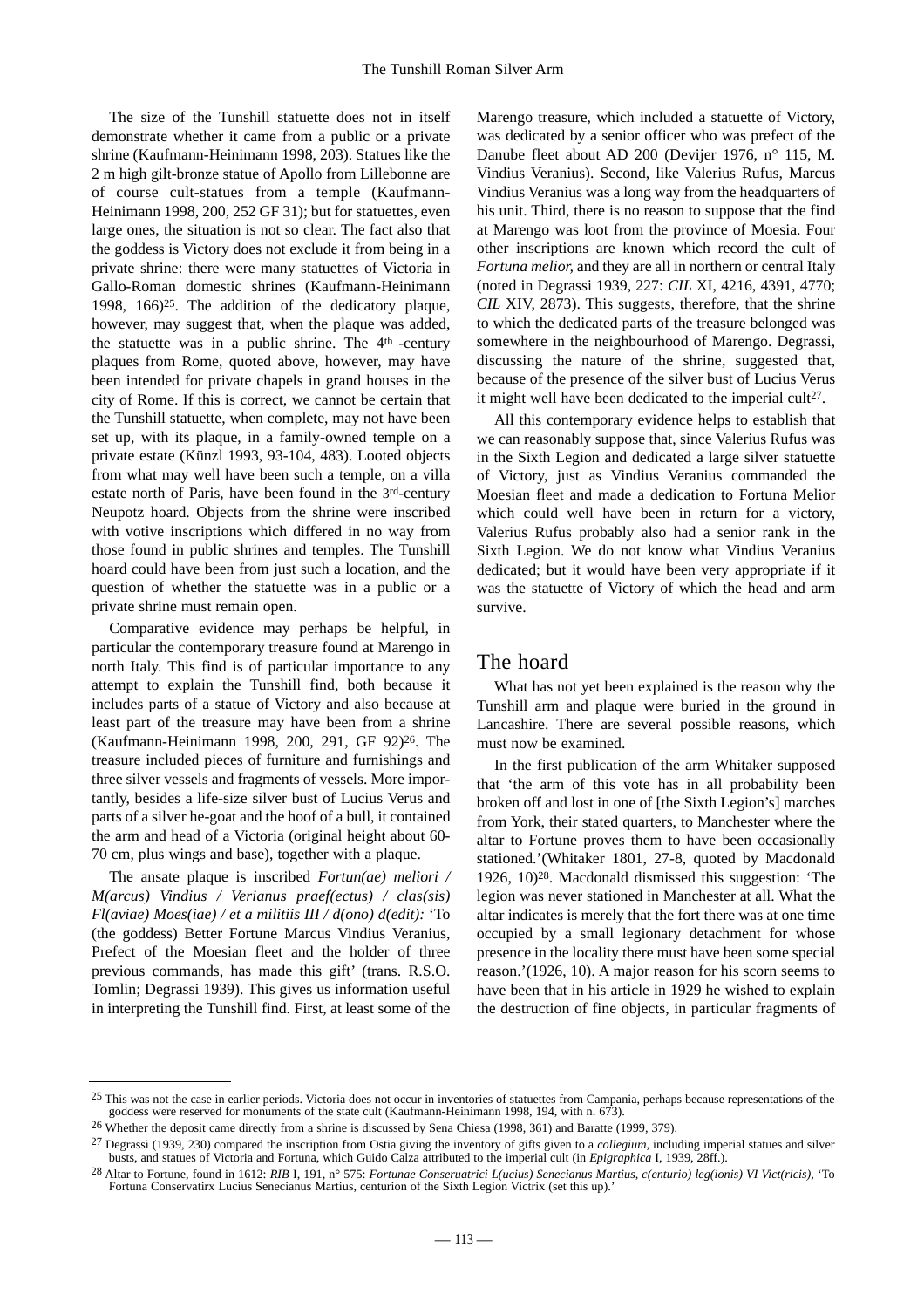The size of the Tunshill statuette does not in itself demonstrate whether it came from a public or a private shrine (Kaufmann-Heinimann 1998, 203). Statues like the 2 m high gilt-bronze statue of Apollo from Lillebonne are of course cult-statues from a temple (Kaufmann-Heinimann 1998, 200, 252 GF 31); but for statuettes, even large ones, the situation is not so clear. The fact also that the goddess is Victory does not exclude it from being in a private shrine: there were many statuettes of Victoria in Gallo-Roman domestic shrines (Kaufmann-Heinimann 1998, 166)25. The addition of the dedicatory plaque, however, may suggest that, when the plaque was added, the statuette was in a public shrine. The  $4<sup>th</sup>$  -century plaques from Rome, quoted above, however, may have been intended for private chapels in grand houses in the city of Rome. If this is correct, we cannot be certain that the Tunshill statuette, when complete, may not have been set up, with its plaque, in a family-owned temple on a private estate (Künzl 1993, 93-104, 483). Looted objects from what may well have been such a temple, on a villa estate north of Paris, have been found in the 3rd-century Neupotz hoard. Objects from the shrine were inscribed with votive inscriptions which differed in no way from those found in public shrines and temples. The Tunshill hoard could have been from just such a location, and the question of whether the statuette was in a public or a private shrine must remain open.

Comparative evidence may perhaps be helpful, in particular the contemporary treasure found at Marengo in north Italy. This find is of particular importance to any attempt to explain the Tunshill find, both because it includes parts of a statue of Victory and also because at least part of the treasure may have been from a shrine (Kaufmann-Heinimann 1998, 200, 291, GF 92)26. The treasure included pieces of furniture and furnishings and three silver vessels and fragments of vessels. More importantly, besides a life-size silver bust of Lucius Verus and parts of a silver he-goat and the hoof of a bull, it contained the arm and head of a Victoria (original height about 60- 70 cm, plus wings and base), together with a plaque.

The ansate plaque is inscribed *Fortun(ae) meliori / M(arcus) Vindius / Verianus praef(ectus) / clas(sis) Fl(aviae) Moes(iae) / et a militiis III / d(ono) d(edit):* 'To (the goddess) Better Fortune Marcus Vindius Veranius, Prefect of the Moesian fleet and the holder of three previous commands, has made this gift' (trans. R.S.O. Tomlin; Degrassi 1939). This gives us information useful in interpreting the Tunshill find. First, at least some of the Marengo treasure, which included a statuette of Victory, was dedicated by a senior officer who was prefect of the Danube fleet about AD 200 (Devijer 1976, n° 115, M. Vindius Veranius). Second, like Valerius Rufus, Marcus Vindius Veranius was a long way from the headquarters of his unit. Third, there is no reason to suppose that the find at Marengo was loot from the province of Moesia. Four other inscriptions are known which record the cult of *Fortuna melior,* and they are all in northern or central Italy (noted in Degrassi 1939, 227: *CIL* XI, 4216, 4391, 4770; *CIL* XIV, 2873). This suggests, therefore, that the shrine to which the dedicated parts of the treasure belonged was somewhere in the neighbourhood of Marengo. Degrassi, discussing the nature of the shrine, suggested that, because of the presence of the silver bust of Lucius Verus it might well have been dedicated to the imperial cult<sup>27</sup>.

All this contemporary evidence helps to establish that we can reasonably suppose that, since Valerius Rufus was in the Sixth Legion and dedicated a large silver statuette of Victory, just as Vindius Veranius commanded the Moesian fleet and made a dedication to Fortuna Melior which could well have been in return for a victory, Valerius Rufus probably also had a senior rank in the Sixth Legion. We do not know what Vindius Veranius dedicated; but it would have been very appropriate if it was the statuette of Victory of which the head and arm survive.

## The hoard

What has not yet been explained is the reason why the Tunshill arm and plaque were buried in the ground in Lancashire. There are several possible reasons, which must now be examined.

In the first publication of the arm Whitaker supposed that 'the arm of this vote has in all probability been broken off and lost in one of [the Sixth Legion's] marches from York, their stated quarters, to Manchester where the altar to Fortune proves them to have been occasionally stationed.'(Whitaker 1801, 27-8, quoted by Macdonald 1926, 10)28. Macdonald dismissed this suggestion: 'The legion was never stationed in Manchester at all. What the altar indicates is merely that the fort there was at one time occupied by a small legionary detachment for whose presence in the locality there must have been some special reason.'(1926, 10). A major reason for his scorn seems to have been that in his article in 1929 he wished to explain the destruction of fine objects, in particular fragments of

<sup>&</sup>lt;sup>25</sup> This was not the case in earlier periods. Victoria does not occur in inventories of statuettes from Campania, perhaps because representations of the goddess were reserved for monuments of the state cult (Kaufmann-Heinimann 1998, 194, with n. 673).

<sup>&</sup>lt;sup>26</sup> Whether the deposit came directly from a shrine is discussed by Sena Chiesa (1998, 361) and Baratte (1999, 379).

<sup>27</sup> Degrassi (1939, 230) compared the inscription from Ostia giving the inventory of gifts given to a *collegium,* including imperial statues and silver busts, and statues of Victoria and Fortuna, which Guido Calza attributed to the imperial cult (in *Epigraphica* I, 1939, 28ff.).

<sup>28</sup> Altar to Fortune, found in 1612: *RIB* I, 191, n° 575: *Fortunae Conseruatrici L(ucius) Senecianus Martius, c(enturio) leg(ionis) VI Vict(ricis)*, 'To Fortuna Conservatirx Lucius Senecianus Martius, centurion of the Sixth Legion Victrix (set this up).'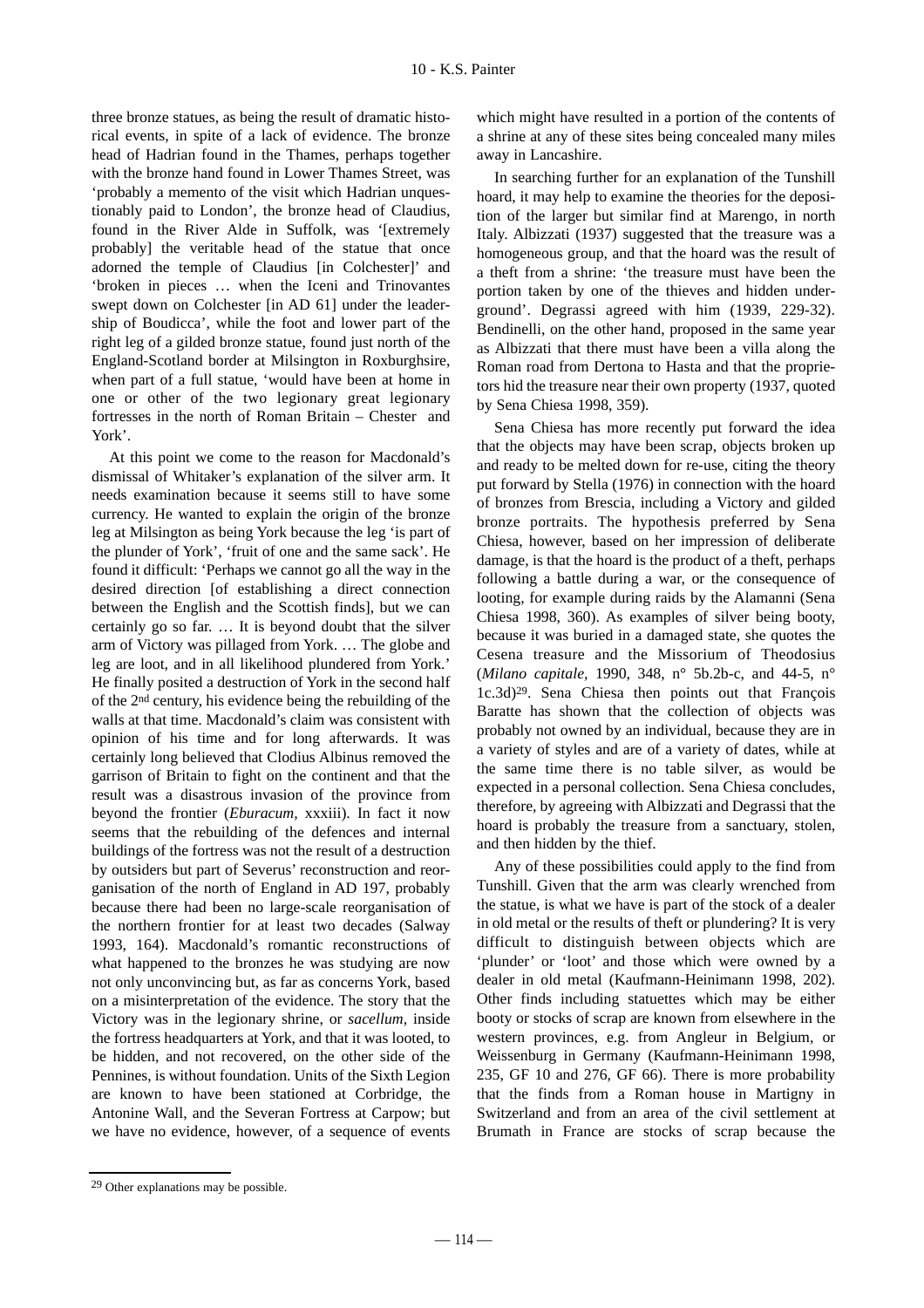three bronze statues, as being the result of dramatic historical events, in spite of a lack of evidence. The bronze head of Hadrian found in the Thames, perhaps together with the bronze hand found in Lower Thames Street, was 'probably a memento of the visit which Hadrian unquestionably paid to London', the bronze head of Claudius, found in the River Alde in Suffolk, was '[extremely probably] the veritable head of the statue that once adorned the temple of Claudius [in Colchester]' and 'broken in pieces … when the Iceni and Trinovantes swept down on Colchester [in AD 61] under the leadership of Boudicca', while the foot and lower part of the right leg of a gilded bronze statue, found just north of the England-Scotland border at Milsington in Roxburghsire, when part of a full statue, 'would have been at home in one or other of the two legionary great legionary fortresses in the north of Roman Britain – Chester and York'.

At this point we come to the reason for Macdonald's dismissal of Whitaker's explanation of the silver arm. It needs examination because it seems still to have some currency. He wanted to explain the origin of the bronze leg at Milsington as being York because the leg 'is part of the plunder of York', 'fruit of one and the same sack'. He found it difficult: 'Perhaps we cannot go all the way in the desired direction [of establishing a direct connection between the English and the Scottish finds], but we can certainly go so far. … It is beyond doubt that the silver arm of Victory was pillaged from York. … The globe and leg are loot, and in all likelihood plundered from York.' He finally posited a destruction of York in the second half of the 2nd century, his evidence being the rebuilding of the walls at that time. Macdonald's claim was consistent with opinion of his time and for long afterwards. It was certainly long believed that Clodius Albinus removed the garrison of Britain to fight on the continent and that the result was a disastrous invasion of the province from beyond the frontier (*Eburacum,* xxxiii). In fact it now seems that the rebuilding of the defences and internal buildings of the fortress was not the result of a destruction by outsiders but part of Severus' reconstruction and reorganisation of the north of England in AD 197, probably because there had been no large-scale reorganisation of the northern frontier for at least two decades (Salway 1993, 164). Macdonald's romantic reconstructions of what happened to the bronzes he was studying are now not only unconvincing but, as far as concerns York, based on a misinterpretation of the evidence. The story that the Victory was in the legionary shrine, or *sacellum,* inside the fortress headquarters at York, and that it was looted, to be hidden, and not recovered, on the other side of the Pennines, is without foundation. Units of the Sixth Legion are known to have been stationed at Corbridge, the Antonine Wall, and the Severan Fortress at Carpow; but we have no evidence, however, of a sequence of events

which might have resulted in a portion of the contents of a shrine at any of these sites being concealed many miles away in Lancashire.

In searching further for an explanation of the Tunshill hoard, it may help to examine the theories for the deposition of the larger but similar find at Marengo, in north Italy. Albizzati (1937) suggested that the treasure was a homogeneous group, and that the hoard was the result of a theft from a shrine: 'the treasure must have been the portion taken by one of the thieves and hidden underground'. Degrassi agreed with him (1939, 229-32). Bendinelli, on the other hand, proposed in the same year as Albizzati that there must have been a villa along the Roman road from Dertona to Hasta and that the proprietors hid the treasure near their own property (1937, quoted by Sena Chiesa 1998, 359).

Sena Chiesa has more recently put forward the idea that the objects may have been scrap, objects broken up and ready to be melted down for re-use, citing the theory put forward by Stella (1976) in connection with the hoard of bronzes from Brescia, including a Victory and gilded bronze portraits. The hypothesis preferred by Sena Chiesa, however, based on her impression of deliberate damage, is that the hoard is the product of a theft, perhaps following a battle during a war, or the consequence of looting, for example during raids by the Alamanni (Sena Chiesa 1998, 360). As examples of silver being booty, because it was buried in a damaged state, she quotes the Cesena treasure and the Missorium of Theodosius (*Milano capitale,* 1990, 348, n° 5b.2b-c, and 44-5, n° 1c.3d)29. Sena Chiesa then points out that François Baratte has shown that the collection of objects was probably not owned by an individual, because they are in a variety of styles and are of a variety of dates, while at the same time there is no table silver, as would be expected in a personal collection. Sena Chiesa concludes, therefore, by agreeing with Albizzati and Degrassi that the hoard is probably the treasure from a sanctuary, stolen, and then hidden by the thief.

Any of these possibilities could apply to the find from Tunshill. Given that the arm was clearly wrenched from the statue, is what we have is part of the stock of a dealer in old metal or the results of theft or plundering? It is very difficult to distinguish between objects which are 'plunder' or 'loot' and those which were owned by a dealer in old metal (Kaufmann-Heinimann 1998, 202). Other finds including statuettes which may be either booty or stocks of scrap are known from elsewhere in the western provinces, e.g. from Angleur in Belgium, or Weissenburg in Germany (Kaufmann-Heinimann 1998, 235, GF 10 and 276, GF 66). There is more probability that the finds from a Roman house in Martigny in Switzerland and from an area of the civil settlement at Brumath in France are stocks of scrap because the

<sup>29</sup> Other explanations may be possible.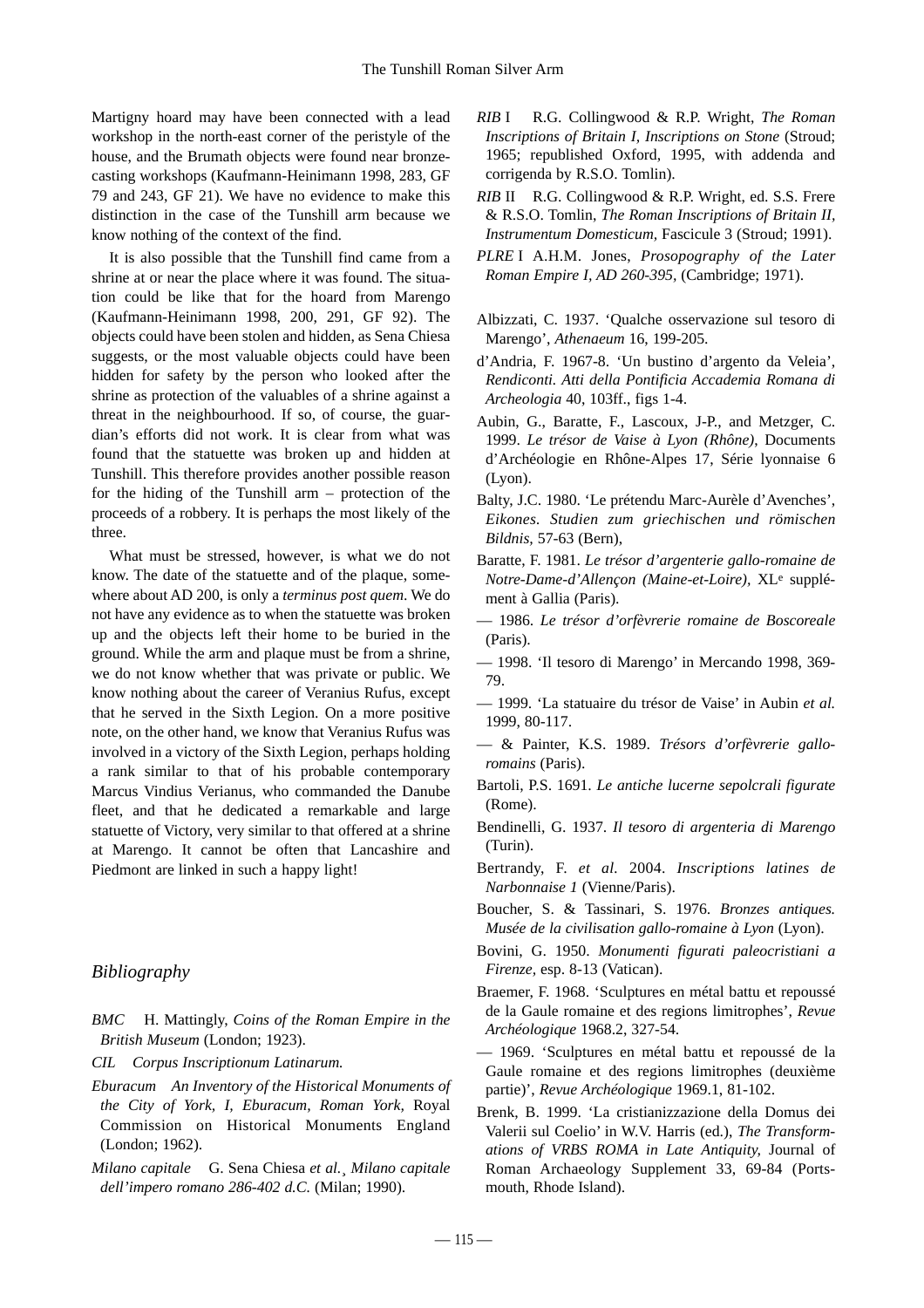Martigny hoard may have been connected with a lead workshop in the north-east corner of the peristyle of the house, and the Brumath objects were found near bronzecasting workshops (Kaufmann-Heinimann 1998, 283, GF 79 and 243, GF 21). We have no evidence to make this distinction in the case of the Tunshill arm because we know nothing of the context of the find.

It is also possible that the Tunshill find came from a shrine at or near the place where it was found. The situation could be like that for the hoard from Marengo (Kaufmann-Heinimann 1998, 200, 291, GF 92). The objects could have been stolen and hidden, as Sena Chiesa suggests, or the most valuable objects could have been hidden for safety by the person who looked after the shrine as protection of the valuables of a shrine against a threat in the neighbourhood. If so, of course, the guardian's efforts did not work. It is clear from what was found that the statuette was broken up and hidden at Tunshill. This therefore provides another possible reason for the hiding of the Tunshill arm – protection of the proceeds of a robbery. It is perhaps the most likely of the three.

What must be stressed, however, is what we do not know. The date of the statuette and of the plaque, somewhere about AD 200, is only a *terminus post quem*. We do not have any evidence as to when the statuette was broken up and the objects left their home to be buried in the ground. While the arm and plaque must be from a shrine, we do not know whether that was private or public. We know nothing about the career of Veranius Rufus, except that he served in the Sixth Legion. On a more positive note, on the other hand, we know that Veranius Rufus was involved in a victory of the Sixth Legion, perhaps holding a rank similar to that of his probable contemporary Marcus Vindius Verianus, who commanded the Danube fleet, and that he dedicated a remarkable and large statuette of Victory, very similar to that offered at a shrine at Marengo. It cannot be often that Lancashire and Piedmont are linked in such a happy light!

#### *Bibliography*

- *BMC* H. Mattingly, *Coins of the Roman Empire in the British Museum* (London; 1923).
- *CIL Corpus Inscriptionum Latinarum.*
- *Eburacum An Inventory of the Historical Monuments of the City of York, I, Eburacum, Roman York,* Royal Commission on Historical Monuments England (London; 1962).
- *Milano capitale* G. Sena Chiesa *et al.*¸ *Milano capitale dell'impero romano 286-402 d.C.* (Milan; 1990).
- *RIB* I R.G. Collingwood & R.P. Wright, *The Roman Inscriptions of Britain I, Inscriptions on Stone* (Stroud; 1965; republished Oxford, 1995, with addenda and corrigenda by R.S.O. Tomlin).
- *RIB* II R.G. Collingwood & R.P. Wright, ed. S.S. Frere & R.S.O. Tomlin, *The Roman Inscriptions of Britain II, Instrumentum Domesticum,* Fascicule 3 (Stroud; 1991).
- *PLRE* I A.H.M. Jones, *Prosopography of the Later Roman Empire I, AD 260-395,* (Cambridge; 1971).
- Albizzati, C. 1937. 'Qualche osservazione sul tesoro di Marengo', *Athenaeum* 16, 199-205.
- d'Andria, F. 1967-8. 'Un bustino d'argento da Veleia', *Rendiconti. Atti della Pontificia Accademia Romana di Archeologia* 40, 103ff., figs 1-4.
- Aubin, G., Baratte, F., Lascoux, J-P., and Metzger, C. 1999. *Le trésor de Vaise à Lyon (Rhône)*, Documents d'Archéologie en Rhône-Alpes 17, Série lyonnaise 6 (Lyon).
- Balty, J.C. 1980. 'Le prétendu Marc-Aurèle d'Avenches', *Eikones. Studien zum griechischen und römischen Bildnis,* 57-63 (Bern),
- Baratte, F. 1981. *Le trésor d'argenterie gallo-romaine de Notre-Dame-d'Allençon (Maine-et-Loire),* XLe supplément à Gallia (Paris).
- 1986. *Le trésor d'orfèvrerie romaine de Boscoreale* (Paris).
- 1998. 'Il tesoro di Marengo' in Mercando 1998, 369- 79.
- 1999. 'La statuaire du trésor de Vaise' in Aubin *et al.* 1999, 80-117.
- & Painter, K.S. 1989. *Trésors d'orfèvrerie galloromains* (Paris).
- Bartoli, P.S. 1691. *Le antiche lucerne sepolcrali figurate* (Rome).
- Bendinelli, G. 1937. *Il tesoro di argenteria di Marengo* (Turin).
- Bertrandy, F. *et al.* 2004. *Inscriptions latines de Narbonnaise 1* (Vienne/Paris).
- Boucher, S. & Tassinari, S. 1976. *Bronzes antiques. Musée de la civilisation gallo-romaine à Lyon* (Lyon).
- Bovini, G. 1950. *Monumenti figurati paleocristiani a Firenze,* esp. 8-13 (Vatican).
- Braemer, F. 1968. 'Sculptures en métal battu et repoussé de la Gaule romaine et des regions limitrophes', *Revue Archéologique* 1968.2, 327-54.
- 1969. 'Sculptures en métal battu et repoussé de la Gaule romaine et des regions limitrophes (deuxième partie)', *Revue Archéologique* 1969.1, 81-102.
- Brenk, B. 1999. 'La cristianizzazione della Domus dei Valerii sul Coelio' in W.V. Harris (ed.), *The Transformations of VRBS ROMA in Late Antiquity,* Journal of Roman Archaeology Supplement 33, 69-84 (Portsmouth, Rhode Island).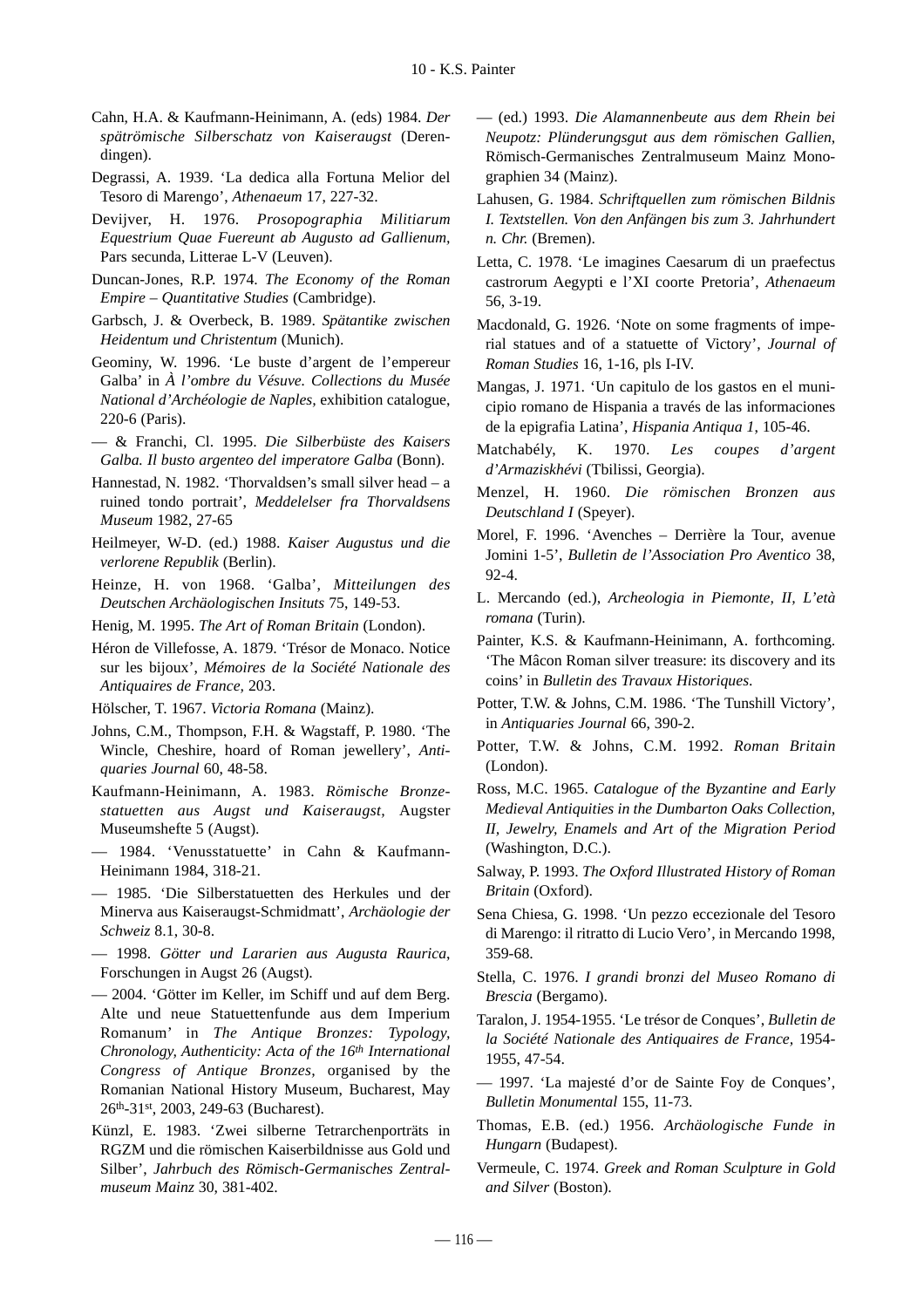- Cahn, H.A. & Kaufmann-Heinimann, A. (eds) 1984. *Der spätrömische Silberschatz von Kaiseraugst* (Derendingen).
- Degrassi, A. 1939. 'La dedica alla Fortuna Melior del Tesoro di Marengo', *Athenaeum* 17, 227-32.
- Devijver, H. 1976. *Prosopographia Militiarum Equestrium Quae Fuereunt ab Augusto ad Gallienum,* Pars secunda, Litterae L-V (Leuven).
- Duncan-Jones, R.P. 1974. *The Economy of the Roman Empire – Quantitative Studies* (Cambridge).
- Garbsch, J. & Overbeck, B. 1989. *Spätantike zwischen Heidentum und Christentum* (Munich).
- Geominy, W. 1996. 'Le buste d'argent de l'empereur Galba' in *À l'ombre du Vésuve. Collections du Musée National d'Archéologie de Naples,* exhibition catalogue, 220-6 (Paris).
- & Franchi, Cl. 1995. *Die Silberbüste des Kaisers Galba. Il busto argenteo del imperatore Galba* (Bonn).
- Hannestad, N. 1982. 'Thorvaldsen's small silver head a ruined tondo portrait', *Meddelelser fra Thorvaldsens Museum* 1982, 27-65
- Heilmeyer, W-D. (ed.) 1988. *Kaiser Augustus und die verlorene Republik* (Berlin).
- Heinze, H. von 1968. 'Galba', *Mitteilungen des Deutschen Archäologischen Insituts* 75, 149-53.
- Henig, M. 1995. *The Art of Roman Britain* (London).
- Héron de Villefosse, A. 1879. 'Trésor de Monaco. Notice sur les bijoux', *Mémoires de la Société Nationale des Antiquaires de France,* 203.
- Hölscher, T. 1967. *Victoria Romana* (Mainz).
- Johns, C.M., Thompson, F.H. & Wagstaff, P. 1980. 'The Wincle, Cheshire, hoard of Roman jewellery', *Antiquaries Journal* 60, 48-58.
- Kaufmann-Heinimann, A. 1983. *Römische Bronzestatuetten aus Augst und Kaiseraugst,* Augster Museumshefte 5 (Augst).
- 1984. 'Venusstatuette' in Cahn & Kaufmann-Heinimann 1984, 318-21.
- 1985. 'Die Silberstatuetten des Herkules und der Minerva aus Kaiseraugst-Schmidmatt', *Archäologie der Schweiz* 8.1, 30-8.
- 1998. *Götter und Lararien aus Augusta Raurica*, Forschungen in Augst 26 (Augst).
- 2004. 'Götter im Keller, im Schiff und auf dem Berg. Alte und neue Statuettenfunde aus dem Imperium Romanum' in *The Antique Bronzes: Typology, Chronology, Authenticity: Acta of the 16th International Congress of Antique Bronzes,* organised by the Romanian National History Museum, Bucharest, May 26th-31st, 2003, 249-63 (Bucharest).
- Künzl, E. 1983. 'Zwei silberne Tetrarchenporträts in RGZM und die römischen Kaiserbildnisse aus Gold und Silber', *Jahrbuch des Römisch-Germanisches Zentralmuseum Mainz* 30, 381-402.

— (ed.) 1993. *Die Alamannenbeute aus dem Rhein bei Neupotz: Plünderungsgut aus dem römischen Gallien*, Römisch-Germanisches Zentralmuseum Mainz Monographien 34 (Mainz).

- Lahusen, G. 1984. *Schriftquellen zum römischen Bildnis I. Textstellen. Von den Anfängen bis zum 3. Jahrhundert n. Chr.* (Bremen).
- Letta, C. 1978. 'Le imagines Caesarum di un praefectus castrorum Aegypti e l'XI coorte Pretoria', *Athenaeum* 56, 3-19.
- Macdonald, G. 1926. 'Note on some fragments of imperial statues and of a statuette of Victory', *Journal of Roman Studies* 16, 1-16, pls I-IV.
- Mangas, J. 1971. 'Un capitulo de los gastos en el municipio romano de Hispania a través de las informaciones de la epigrafia Latina', *Hispania Antiqua 1*, 105-46.
- Matchabély, K. 1970. *Les coupes d'argent d'Armaziskhévi* (Tbilissi, Georgia).
- Menzel, H. 1960. *Die römischen Bronzen aus Deutschland I* (Speyer).
- Morel, F. 1996. 'Avenches Derrière la Tour, avenue Jomini 1-5', *Bulletin de l'Association Pro Aventico* 38,  $92 - 4$
- L. Mercando (ed.), *Archeologia in Piemonte, II, L'età romana* (Turin).
- Painter, K.S. & Kaufmann-Heinimann, A. forthcoming. 'The Mâcon Roman silver treasure: its discovery and its coins' in *Bulletin des Travaux Historiques*.
- Potter, T.W. & Johns, C.M. 1986. 'The Tunshill Victory', in *Antiquaries Journal* 66, 390-2.
- Potter, T.W. & Johns, C.M. 1992. *Roman Britain* (London).
- Ross, M.C. 1965. *Catalogue of the Byzantine and Early Medieval Antiquities in the Dumbarton Oaks Collection, II, Jewelry, Enamels and Art of the Migration Period* (Washington, D.C.).
- Salway, P. 1993. *The Oxford Illustrated History of Roman Britain* (Oxford).
- Sena Chiesa, G. 1998. 'Un pezzo eccezionale del Tesoro di Marengo: il ritratto di Lucio Vero', in Mercando 1998, 359-68.
- Stella, C. 1976. *I grandi bronzi del Museo Romano di Brescia* (Bergamo).
- Taralon, J. 1954-1955. 'Le trésor de Conques', *Bulletin de la Société Nationale des Antiquaires de France,* 1954- 1955, 47-54.
- 1997. 'La majesté d'or de Sainte Foy de Conques', *Bulletin Monumental* 155, 11-73.
- Thomas, E.B. (ed.) 1956. *Archäologische Funde in Hungarn* (Budapest).
- Vermeule, C. 1974. *Greek and Roman Sculpture in Gold and Silver* (Boston).